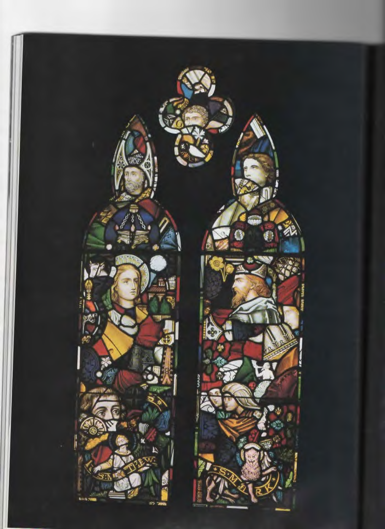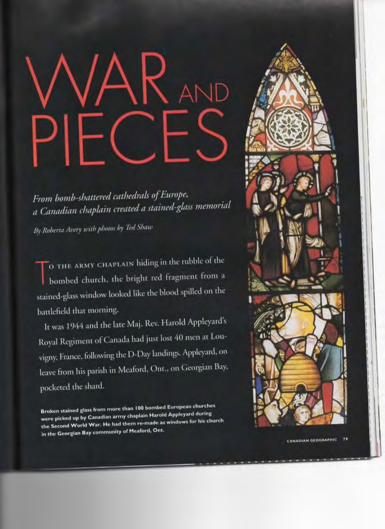From bomb-shattered cathedrals of Europe, a Canadian chaplain created a stained-glass memorial

By Roberta Avery with photos by Ted Shaw

O THE ARMY CHAPLAIN hiding in the rubble of the bombed church, the bright red fragment from a stained-glass window looked like the blood spilled on the battlefield that morning.

It was 1944 and the late Maj. Rev. Harold Appleyard's Royal Regiment of Canada had just lost 40 men at Louvigny, France, following the D-Day landings. Appleyard, on leave from his parish in Meaford, Ont., on Georgian Bay, pocketed the shard.

Broken stained glass from more than 100 bombed European churches were picked up by Canadian army chaplain Harold Appleyard during the Second World War. He had them re-made as windows for his church in the Georgian Bay community of Meaford, Ont.



**CANADIAN GEOGRAPHIC**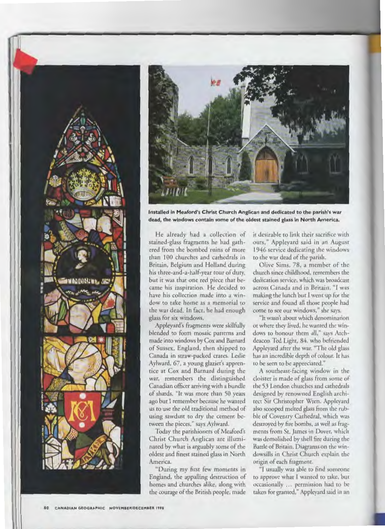



Installed in Meaford's Christ Church Anglican and dedicated to the parish's war dead, the windows contain some of the oldest stained glass in North America.

He already had a collection of stained-glass fragments he had gathered from the bombed ruins of more than 100 churches and cathedrals in Britain, Belgium and Holland during his three-and-a-half-year tour of duty, but it was that one red piece that became his inspiration. He decided to have his collection made into a window to take home as a memorial to the war dead. In fact, he had enough glass for six windows.

Appleyard's fragments were skilfully blended to form mosaic patterns and made into windows by Cox and Barnard of Sussex, England, then shipped to Canada in straw-packed crates. Leslie Aylward, 67, a young glazier's apprentice at Cox and Barnard during the war, remembers the distinguished Canadian officer arriving with a bundle of shards. "It was more than 50 years ago but I remember because he wanted us to use the old traditional method of using sawdust to dry the cement between the pieces," says Aylward.

Today the parishioners of Meaford's Christ Church Anglican are illuminated by what is arguably some of the oldest and finest stained glass in North America.

"During my first few moments in England, the appalling destruction of homes and churches alike, along with the courage of the British people, made

it desirable to link their sacrifice with ours," Appleyard said in an August 1946 service dedicating the windows to the war dead of the parish.

Olive Sims, 78, a member of the church since childhood, remembers the dedication service, which was broadcast across Canada and in Britain. "I was making the lunch but I went up for the service and found all those people had come to see our windows," she says.

"It wasn't about which denomination or where they lived, he wanted the windows to honour them all," says Archdeacon Ted Light, 84, who befriended Appleyard after the war. "The old glass has an incredible depth of colour. It has to be seen to be appreciated."

A southeast-facing window in the cloister is made of glass from some of the 53 London churches and cathedrals designed by renowned English architect Sir Christopher Wren. Appleyard also scooped melted glass from the rubble of Coventry Cathedral, which was destroyed by fire bombs, as well as fragments from St. James in Dover, which was demolished by shell fire during the Battle of Britain. Diagrams on the windowsills in Christ Church explain the origin of each fragment.

'I usually was able to find someone to approve what I wanted to take, but occasionally ... permission had to be taken for granted," Appleyard said in an